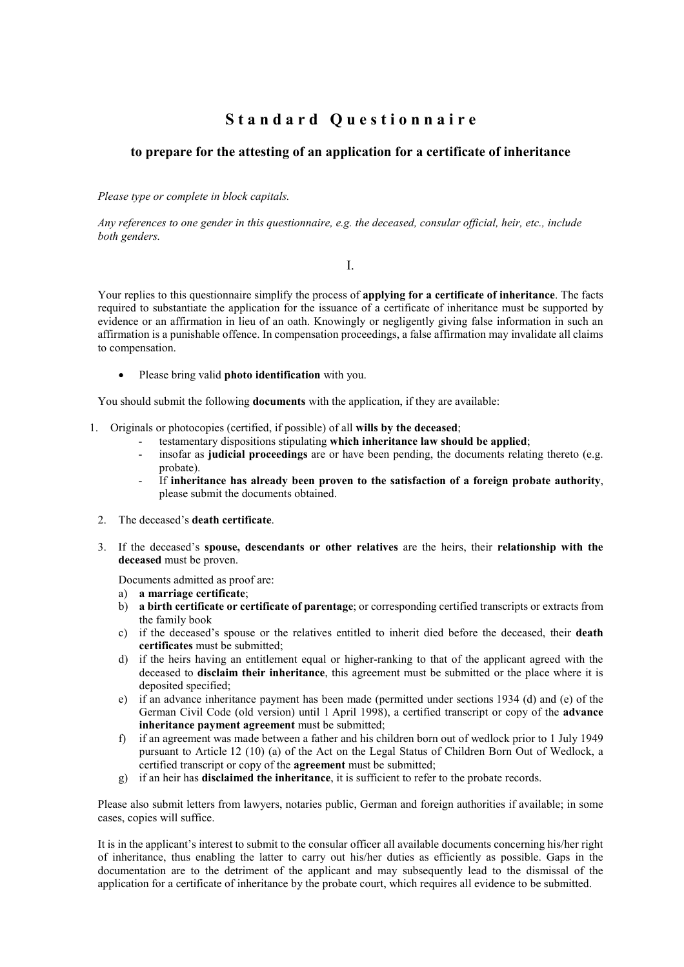# **S t a n d a r d Q u e s t i o n n a i r e**

## **to prepare for the attesting of an application for a certificate of inheritance**

*Please type or complete in block capitals.* 

*Any references to one gender in this questionnaire, e.g. the deceased, consular official, heir, etc., include both genders.* 

I.

Your replies to this questionnaire simplify the process of **applying for a certificate of inheritance**. The facts required to substantiate the application for the issuance of a certificate of inheritance must be supported by evidence or an affirmation in lieu of an oath. Knowingly or negligently giving false information in such an affirmation is a punishable offence. In compensation proceedings, a false affirmation may invalidate all claims to compensation.

Please bring valid **photo identification** with you.

You should submit the following **documents** with the application, if they are available:

- 1. Originals or photocopies (certified, if possible) of all **wills by the deceased**;
	- testamentary dispositions stipulating **which inheritance law should be applied**;
	- insofar as **judicial proceedings** are or have been pending, the documents relating thereto (e.g. probate).
	- If **inheritance has already been proven to the satisfaction of a foreign probate authority**, please submit the documents obtained.
	- 2. The deceased's **death certificate**.
	- 3. If the deceased's **spouse, descendants or other relatives** are the heirs, their **relationship with the deceased** must be proven.

Documents admitted as proof are:

- a) **a marriage certificate**;
- b) **a birth certificate or certificate of parentage**; or corresponding certified transcripts or extracts from the family book
- c) if the deceased's spouse or the relatives entitled to inherit died before the deceased, their **death certificates** must be submitted;
- d) if the heirs having an entitlement equal or higher-ranking to that of the applicant agreed with the deceased to **disclaim their inheritance**, this agreement must be submitted or the place where it is deposited specified;
- e) if an advance inheritance payment has been made (permitted under sections 1934 (d) and (e) of the German Civil Code (old version) until 1 April 1998), a certified transcript or copy of the **advance inheritance payment agreement** must be submitted;
- f) if an agreement was made between a father and his children born out of wedlock prior to 1 July 1949 pursuant to Article 12 (10) (a) of the Act on the Legal Status of Children Born Out of Wedlock, a certified transcript or copy of the **agreement** must be submitted;
- g) if an heir has **disclaimed the inheritance**, it is sufficient to refer to the probate records.

Please also submit letters from lawyers, notaries public, German and foreign authorities if available; in some cases, copies will suffice.

It is in the applicant's interest to submit to the consular officer all available documents concerning his/her right of inheritance, thus enabling the latter to carry out his/her duties as efficiently as possible. Gaps in the documentation are to the detriment of the applicant and may subsequently lead to the dismissal of the application for a certificate of inheritance by the probate court, which requires all evidence to be submitted.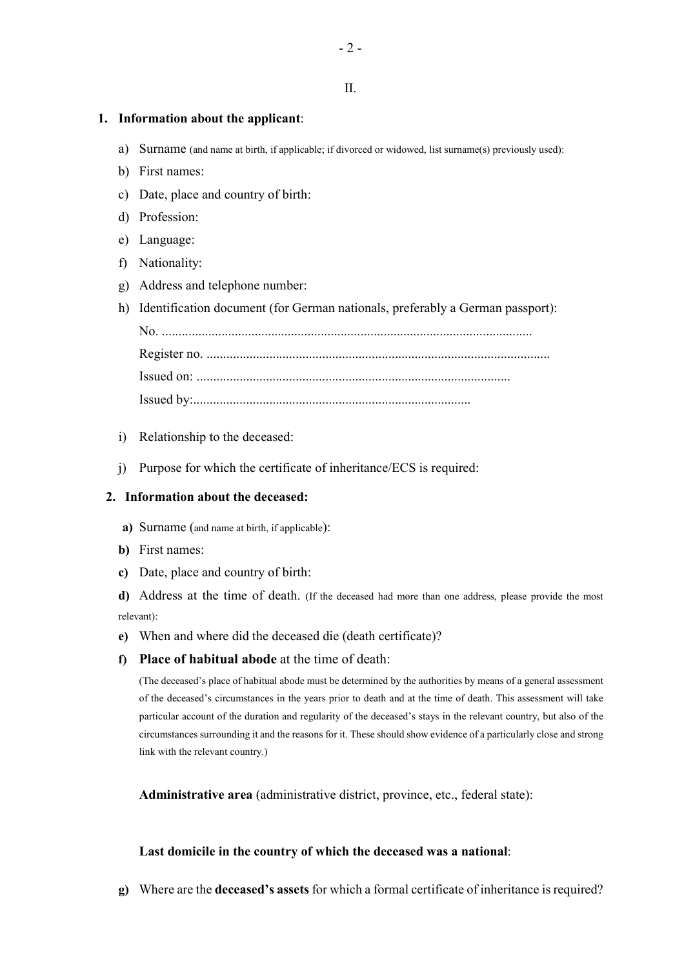**1. Information about the applicant**:

- a) Surname (and name at birth, if applicable; if divorced or widowed, list surname(s) previously used):
- b) First names:
- c) Date, place and country of birth:
- d) Profession:
- e) Language:
- f) Nationality:
- g) Address and telephone number:
- h) Identification document (for German nationals, preferably a German passport):

No. ................................................................................................................ Register no. ........................................................................................................ Issued on: ............................................................................................... Issued by:....................................................................................

- i) Relationship to the deceased:
- j) Purpose for which the certificate of inheritance/ECS is required:

### **2. Information about the deceased:**

- **a)** Surname (and name at birth, if applicable):
- **b)** First names:
- **c)** Date, place and country of birth:

**d)** Address at the time of death. (If the deceased had more than one address, please provide the most relevant):

- **e)** When and where did the deceased die (death certificate)?
- **f) Place of habitual abode** at the time of death:

(The deceased's place of habitual abode must be determined by the authorities by means of a general assessment of the deceased's circumstances in the years prior to death and at the time of death. This assessment will take particular account of the duration and regularity of the deceased's stays in the relevant country, but also of the circumstances surrounding it and the reasons for it. These should show evidence of a particularly close and strong link with the relevant country.)

**Administrative area** (administrative district, province, etc., federal state):

## **Last domicile in the country of which the deceased was a national**:

**g)** Where are the **deceased's assets** for which a formal certificate of inheritance is required?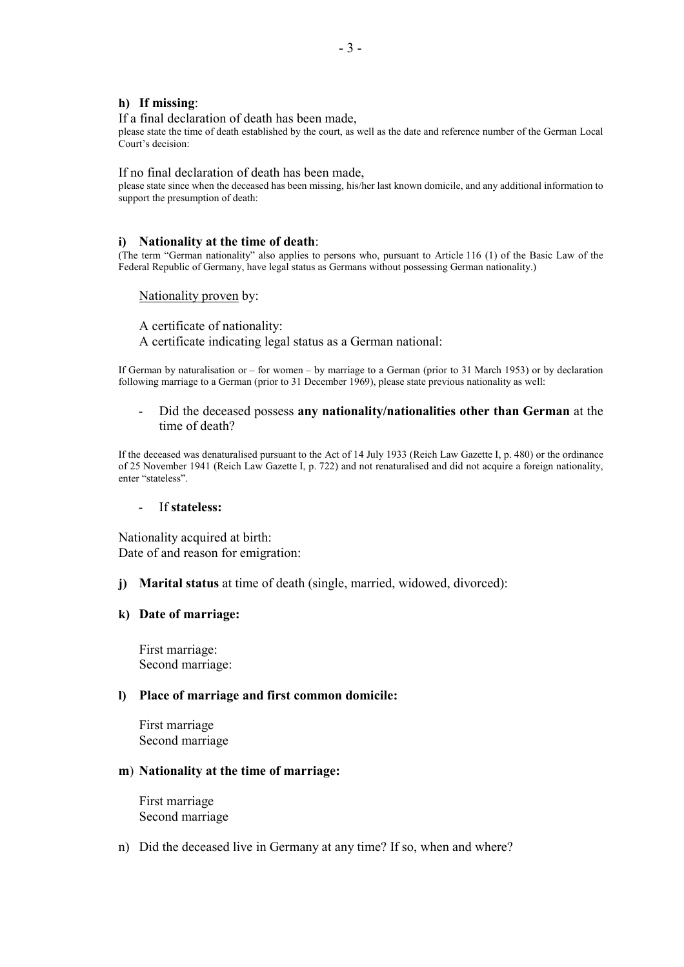### **h) If missing**:

### If a final declaration of death has been made,

please state the time of death established by the court, as well as the date and reference number of the German Local Court's decision:

#### If no final declaration of death has been made,

please state since when the deceased has been missing, his/her last known domicile, and any additional information to support the presumption of death:

#### **i) Nationality at the time of death**:

(The term "German nationality" also applies to persons who, pursuant to Article 116 (1) of the Basic Law of the Federal Republic of Germany, have legal status as Germans without possessing German nationality.)

Nationality proven by:

A certificate of nationality: A certificate indicating legal status as a German national:

If German by naturalisation or – for women – by marriage to a German (prior to 31 March 1953) or by declaration following marriage to a German (prior to 31 December 1969), please state previous nationality as well:

## - Did the deceased possess **any nationality/nationalities other than German** at the time of death?

If the deceased was denaturalised pursuant to the Act of 14 July 1933 (Reich Law Gazette I, p. 480) or the ordinance of 25 November 1941 (Reich Law Gazette I, p. 722) and not renaturalised and did not acquire a foreign nationality, enter "stateless".

#### - If **stateless:**

Nationality acquired at birth: Date of and reason for emigration:

### **j) Marital status** at time of death (single, married, widowed, divorced):

#### **k) Date of marriage:**

First marriage: Second marriage:

#### **l) Place of marriage and first common domicile:**

First marriage Second marriage

#### **m**) **Nationality at the time of marriage:**

First marriage Second marriage

n) Did the deceased live in Germany at any time? If so, when and where?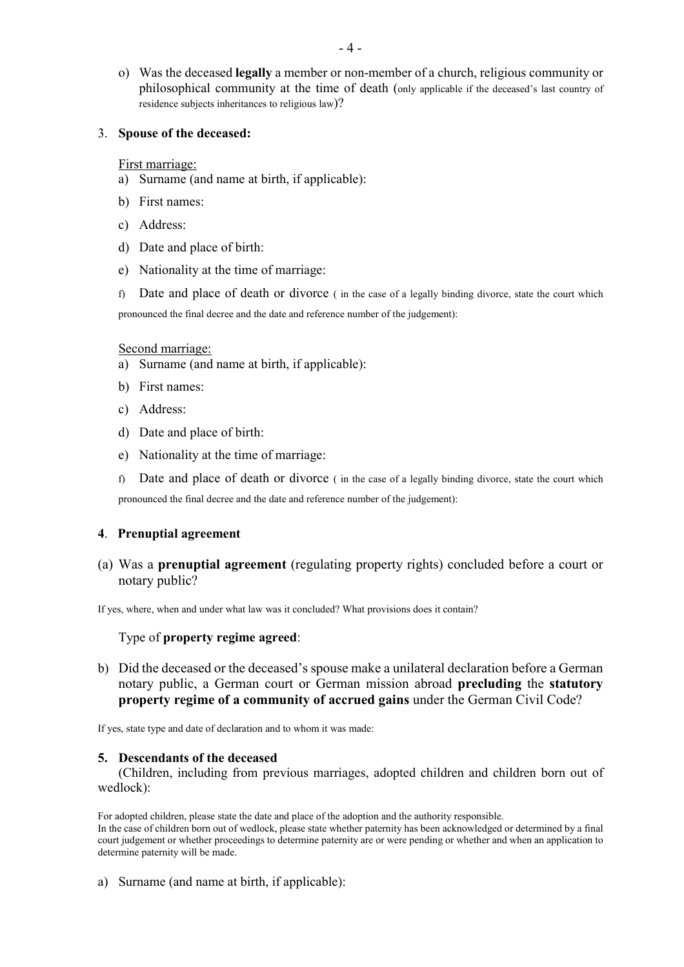o) Was the deceased **legally** a member or non-member of a church, religious community or philosophical community at the time of death (only applicable if the deceased's last country of residence subjects inheritances to religious law)?

### 3. **Spouse of the deceased:**

#### First marriage:

- a) Surname (and name at birth, if applicable):
- b) First names:
- c) Address:
- d) Date and place of birth:
- e) Nationality at the time of marriage:
- f) Date and place of death or divorce ( in the case of a legally binding divorce, state the court which pronounced the final decree and the date and reference number of the judgement):

#### Second marriage:

- a) Surname (and name at birth, if applicable):
- b) First names:
- c) Address:
- d) Date and place of birth:
- e) Nationality at the time of marriage:
- f) Date and place of death or divorce ( in the case of a legally binding divorce, state the court which pronounced the final decree and the date and reference number of the judgement):

#### **4**. **Prenuptial agreement**

(a) Was a **prenuptial agreement** (regulating property rights) concluded before a court or notary public?

If yes, where, when and under what law was it concluded? What provisions does it contain?

#### Type of **property regime agreed**:

b) Did the deceased or the deceased's spouse make a unilateral declaration before a German notary public, a German court or German mission abroad **precluding** the **statutory property regime of a community of accrued gains** under the German Civil Code?

If yes, state type and date of declaration and to whom it was made:

#### **5. Descendants of the deceased**

 (Children, including from previous marriages, adopted children and children born out of wedlock):

For adopted children, please state the date and place of the adoption and the authority responsible. In the case of children born out of wedlock, please state whether paternity has been acknowledged or determined by a final court judgement or whether proceedings to determine paternity are or were pending or whether and when an application to determine paternity will be made.

a) Surname (and name at birth, if applicable):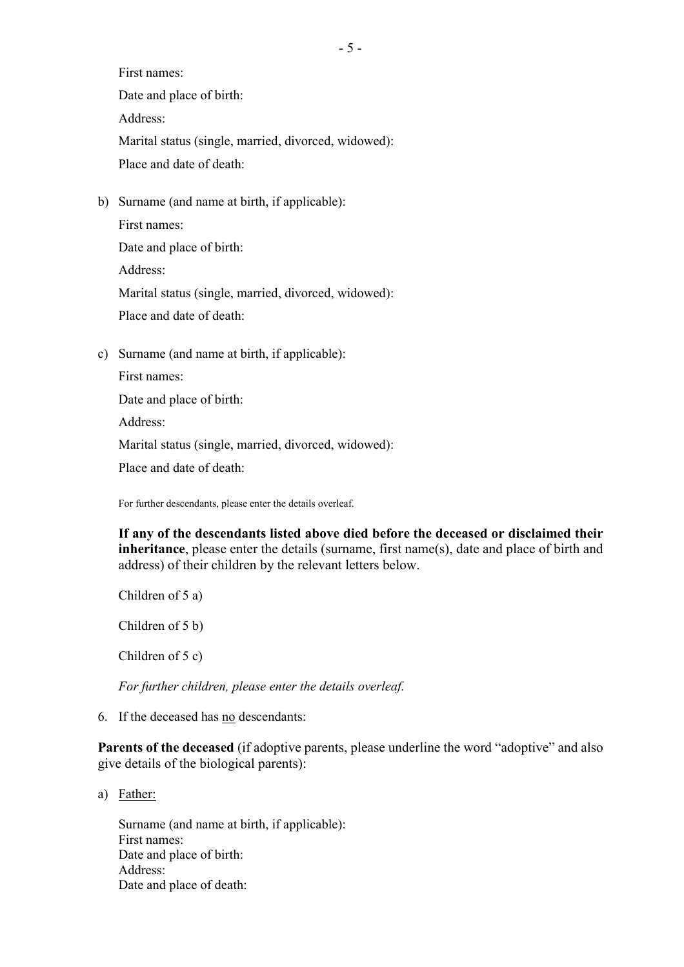First names:

Date and place of birth:

Address:

Marital status (single, married, divorced, widowed): Place and date of death:

b) Surname (and name at birth, if applicable):

First names: Date and place of birth: Address: Marital status (single, married, divorced, widowed): Place and date of death:

c) Surname (and name at birth, if applicable):

First names:

Date and place of birth:

Address:

Marital status (single, married, divorced, widowed):

Place and date of death:

For further descendants, please enter the details overleaf.

**If any of the descendants listed above died before the deceased or disclaimed their inheritance**, please enter the details (surname, first name(s), date and place of birth and address) of their children by the relevant letters below.

Children of 5 a)

Children of 5 b)

Children of 5 c)

*For further children, please enter the details overleaf.* 

6. If the deceased has no descendants:

Parents of the deceased (if adoptive parents, please underline the word "adoptive" and also give details of the biological parents):

a) Father:

Surname (and name at birth, if applicable): First names: Date and place of birth: Address: Date and place of death: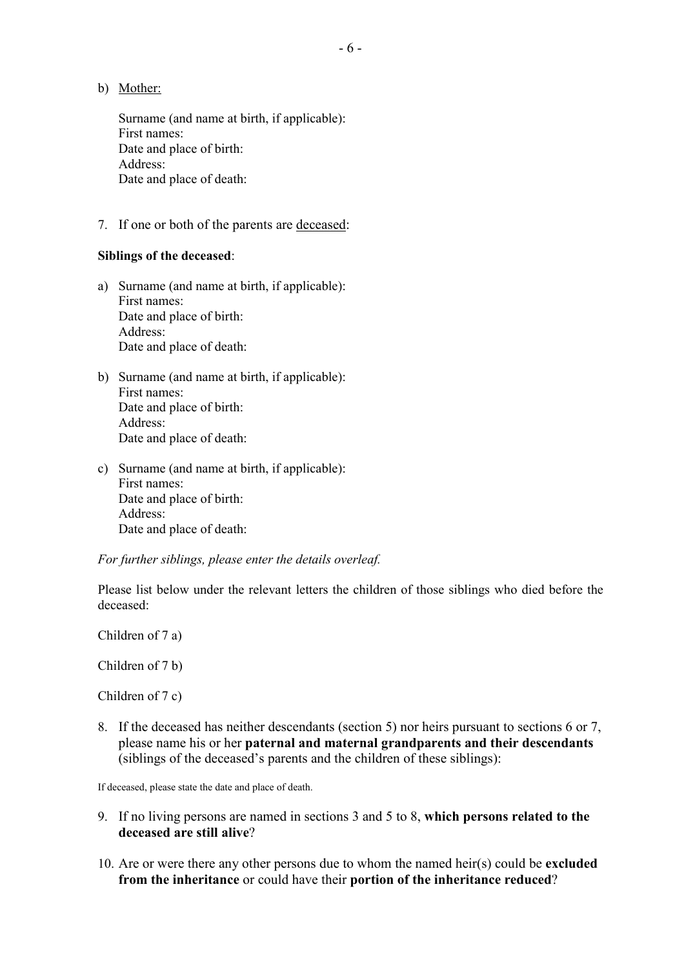b) Mother:

Surname (and name at birth, if applicable): First names: Date and place of birth: Address: Date and place of death:

7. If one or both of the parents are deceased:

## **Siblings of the deceased**:

- a) Surname (and name at birth, if applicable): First names: Date and place of birth: Address: Date and place of death:
- b) Surname (and name at birth, if applicable): First names: Date and place of birth: Address: Date and place of death:
- c) Surname (and name at birth, if applicable): First names: Date and place of birth: Address: Date and place of death:

*For further siblings, please enter the details overleaf.* 

Please list below under the relevant letters the children of those siblings who died before the deceased:

Children of 7 a)

Children of 7 b)

Children of 7 c)

8. If the deceased has neither descendants (section 5) nor heirs pursuant to sections 6 or 7, please name his or her **paternal and maternal grandparents and their descendants** (siblings of the deceased's parents and the children of these siblings):

If deceased, please state the date and place of death.

- 9. If no living persons are named in sections 3 and 5 to 8, **which persons related to the deceased are still alive**?
- 10. Are or were there any other persons due to whom the named heir(s) could be **excluded from the inheritance** or could have their **portion of the inheritance reduced**?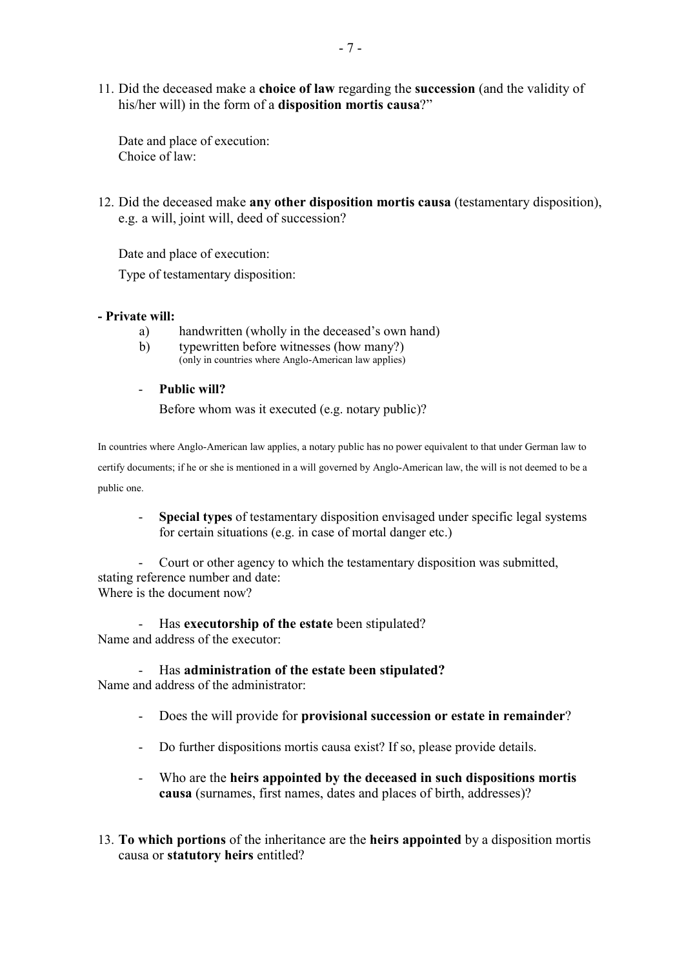11. Did the deceased make a **choice of law** regarding the **succession** (and the validity of his/her will) in the form of a **disposition mortis causa**?"

Date and place of execution: Choice of law:

12. Did the deceased make **any other disposition mortis causa** (testamentary disposition), e.g. a will, joint will, deed of succession?

Date and place of execution:

Type of testamentary disposition:

## **- Private will:**

- a) handwritten (wholly in the deceased's own hand)
- b) typewritten before witnesses (how many?) (only in countries where Anglo-American law applies)

## - **Public will?**

Before whom was it executed (e.g. notary public)?

In countries where Anglo-American law applies, a notary public has no power equivalent to that under German law to certify documents; if he or she is mentioned in a will governed by Anglo-American law, the will is not deemed to be a public one.

- **Special types** of testamentary disposition envisaged under specific legal systems for certain situations (e.g. in case of mortal danger etc.)

- Court or other agency to which the testamentary disposition was submitted, stating reference number and date: Where is the document now?

- Has **executorship of the estate** been stipulated? Name and address of the executor:

- Has **administration of the estate been stipulated?**

Name and address of the administrator:

- Does the will provide for **provisional succession or estate in remainder**?
- Do further dispositions mortis causa exist? If so, please provide details.
- Who are the **heirs appointed by the deceased in such dispositions mortis causa** (surnames, first names, dates and places of birth, addresses)?
- 13. **To which portions** of the inheritance are the **heirs appointed** by a disposition mortis causa or **statutory heirs** entitled?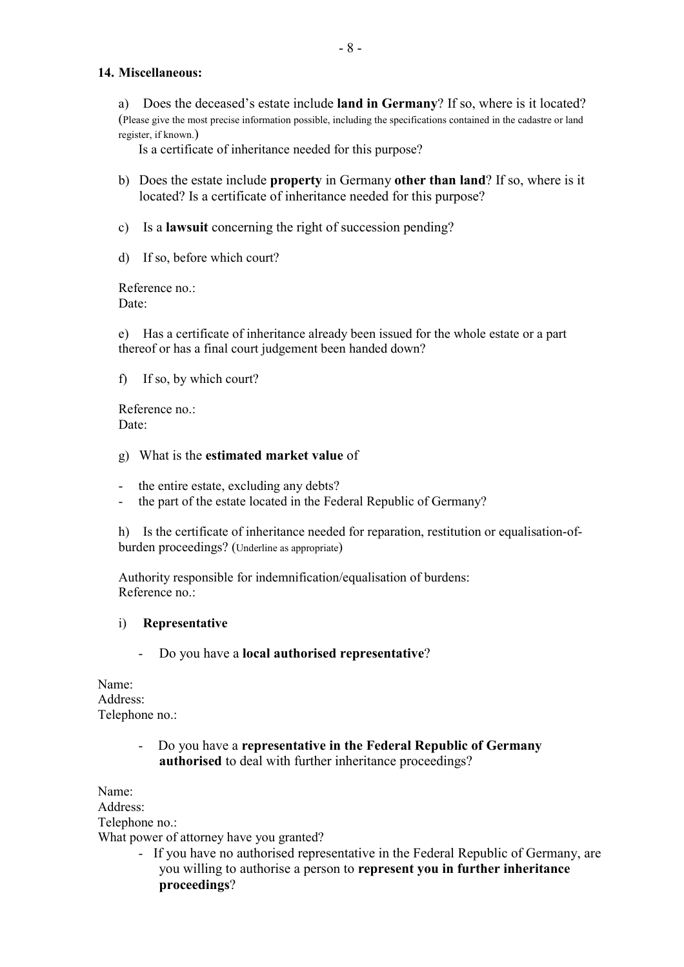### **14. Miscellaneous:**

a) Does the deceased's estate include **land in Germany**? If so, where is it located? (Please give the most precise information possible, including the specifications contained in the cadastre or land register, if known.)

Is a certificate of inheritance needed for this purpose?

- b) Does the estate include **property** in Germany **other than land**? If so, where is it located? Is a certificate of inheritance needed for this purpose?
- c) Is a **lawsuit** concerning the right of succession pending?
- d) If so, before which court?

Reference no.: Date:

e) Has a certificate of inheritance already been issued for the whole estate or a part thereof or has a final court judgement been handed down?

f) If so, by which court?

Reference no.: Date:

## g) What is the **estimated market value** of

- the entire estate, excluding any debts?
- the part of the estate located in the Federal Republic of Germany?

h) Is the certificate of inheritance needed for reparation, restitution or equalisation-ofburden proceedings? (Underline as appropriate)

Authority responsible for indemnification/equalisation of burdens: Reference no.:

## i) **Representative**

- Do you have a **local authorised representative**?

Name: Address: Telephone no.:

> - Do you have a **representative in the Federal Republic of Germany authorised** to deal with further inheritance proceedings?

Name: Address: Telephone no.: What power of attorney have you granted?

- If you have no authorised representative in the Federal Republic of Germany, are you willing to authorise a person to **represent you in further inheritance proceedings**?